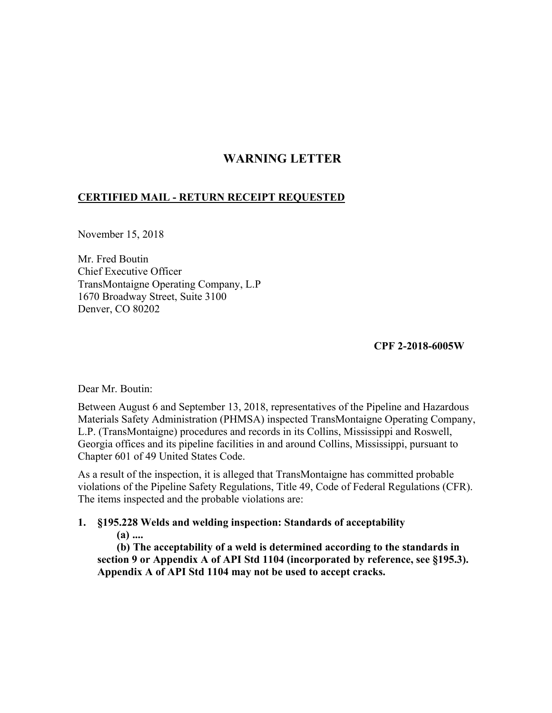# **WARNING LETTER**

## **CERTIFIED MAIL - RETURN RECEIPT REQUESTED**

November 15, 2018

Mr. Fred Boutin Chief Executive Officer TransMontaigne Operating Company, L.P 1670 Broadway Street, Suite 3100 Denver, CO 80202

**CPF 2-2018-6005W** 

Dear Mr. Boutin:

Between August 6 and September 13, 2018, representatives of the Pipeline and Hazardous Materials Safety Administration (PHMSA) inspected TransMontaigne Operating Company, L.P. (TransMontaigne) procedures and records in its Collins, Mississippi and Roswell, Georgia offices and its pipeline facilities in and around Collins, Mississippi, pursuant to Chapter 601 of 49 United States Code.

As a result of the inspection, it is alleged that TransMontaigne has committed probable violations of the Pipeline Safety Regulations, Title 49, Code of Federal Regulations (CFR). The items inspected and the probable violations are:

### **1. §195.228 Welds and welding inspection: Standards of acceptability (a) ....**

**(b) The acceptability of a weld is determined according to the standards in section 9 or Appendix A of API Std 1104 (incorporated by reference, see §195.3). Appendix A of API Std 1104 may not be used to accept cracks.**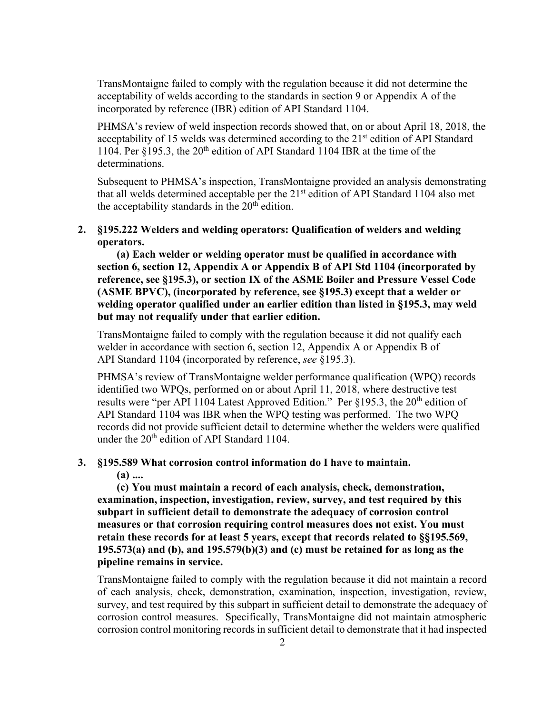TransMontaigne failed to comply with the regulation because it did not determine the acceptability of welds according to the standards in section 9 or Appendix A of the incorporated by reference (IBR) edition of API Standard 1104.

PHMSA's review of weld inspection records showed that, on or about April 18, 2018, the acceptability of 15 welds was determined according to the  $21<sup>st</sup>$  edition of API Standard 1104. Per  $§195.3$ , the  $20<sup>th</sup>$  edition of API Standard 1104 IBR at the time of the determinations.

Subsequent to PHMSA's inspection, TransMontaigne provided an analysis demonstrating that all welds determined acceptable per the  $21<sup>st</sup>$  edition of API Standard 1104 also met the acceptability standards in the  $20<sup>th</sup>$  edition.

### **2. §195.222 Welders and welding operators: Qualification of welders and welding operators.**

**(a) Each welder or welding operator must be qualified in accordance with section 6, section 12, Appendix A or Appendix B of API Std 1104 (incorporated by reference, see §195.3), or section IX of the ASME Boiler and Pressure Vessel Code (ASME BPVC), (incorporated by reference, see §195.3) except that a welder or welding operator qualified under an earlier edition than listed in §195.3, may weld but may not requalify under that earlier edition.** 

TransMontaigne failed to comply with the regulation because it did not qualify each welder in accordance with section 6, section 12, Appendix A or Appendix B of API Standard 1104 (incorporated by reference, *see* §195.3).

PHMSA's review of TransMontaigne welder performance qualification (WPQ) records identified two WPQs, performed on or about April 11, 2018, where destructive test results were "per API 1104 Latest Approved Edition." Per  $\S$ 195.3, the 20<sup>th</sup> edition of API Standard 1104 was IBR when the WPQ testing was performed. The two WPQ records did not provide sufficient detail to determine whether the welders were qualified under the  $20<sup>th</sup>$  edition of API Standard 1104.

#### **3. §195.589 What corrosion control information do I have to maintain.**

**(a) ....** 

**(c) You must maintain a record of each analysis, check, demonstration, examination, inspection, investigation, review, survey, and test required by this subpart in sufficient detail to demonstrate the adequacy of corrosion control measures or that corrosion requiring control measures does not exist. You must retain these records for at least 5 years, except that records related to §§195.569, 195.573(a) and (b), and 195.579(b)(3) and (c) must be retained for as long as the pipeline remains in service.** 

 TransMontaigne failed to comply with the regulation because it did not maintain a record of each analysis, check, demonstration, examination, inspection, investigation, review, survey, and test required by this subpart in sufficient detail to demonstrate the adequacy of corrosion control measures. Specifically, TransMontaigne did not maintain atmospheric corrosion control monitoring records in sufficient detail to demonstrate that it had inspected